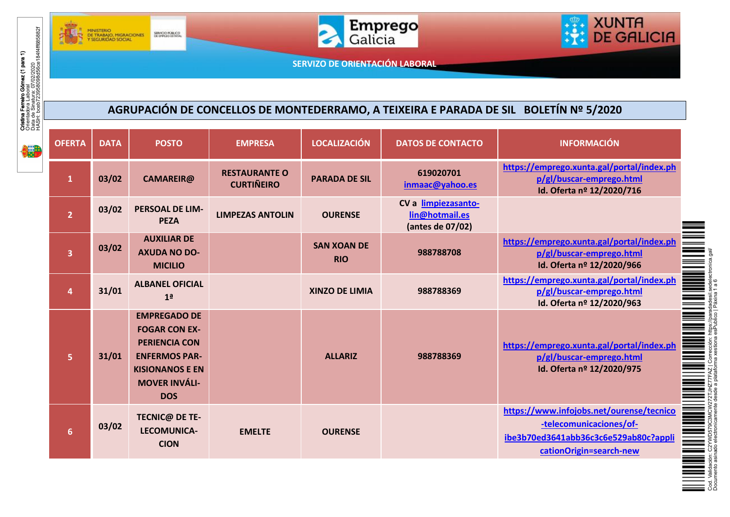



XUNTA<br>DE GALICIA 理

## **AGRUPACIÓN DE CONCELLOS DE MONTEDERRAMO, A TEIXEIRA E PARADA DE SIL BOLETÍN Nº 5/2020**

|                                                                                                                                                    |                         | DE TRABAJO, MIGRACIONES<br>Y SEGURIDAD SOCIAL | SERVICIO PÚBLICO                                                                                                                                            |                                           |                                  | <b>Emprego</b>                                            | <b>DE GALICIA</b>                                                                                                                       |  |  |
|----------------------------------------------------------------------------------------------------------------------------------------------------|-------------------------|-----------------------------------------------|-------------------------------------------------------------------------------------------------------------------------------------------------------------|-------------------------------------------|----------------------------------|-----------------------------------------------------------|-----------------------------------------------------------------------------------------------------------------------------------------|--|--|
| <b>Cristina Ferreiro Górnez (1 para 1)</b><br>Orientadora Labori <i>o</i><br>I Machi Laborio (10/02/2020<br>HASH: bceb723958098d56ce18444ff685882f |                         | SERVIZO DE ORIENTACIÓN LABORAL                |                                                                                                                                                             |                                           |                                  |                                                           |                                                                                                                                         |  |  |
|                                                                                                                                                    |                         |                                               |                                                                                                                                                             |                                           |                                  |                                                           |                                                                                                                                         |  |  |
| AGRUPACIÓN DE CONCELLOS DE MONTEDERRAMO, A TEIXEIRA E PARADA DE SIL BOLETÍN Nº 5/2020                                                              |                         |                                               |                                                                                                                                                             |                                           |                                  |                                                           |                                                                                                                                         |  |  |
| <b>ijin</b>                                                                                                                                        | <b>OFERTA</b>           | <b>DATA</b>                                   | <b>POSTO</b>                                                                                                                                                | <b>EMPRESA</b>                            | <b>LOCALIZACIÓN</b>              | <b>DATOS DE CONTACTO</b>                                  | <b>INFORMACIÓN</b>                                                                                                                      |  |  |
|                                                                                                                                                    | $\mathbf{1}$            | 03/02                                         | <b>CAMAREIR@</b>                                                                                                                                            | <b>RESTAURANTE O</b><br><b>CURTIÑEIRO</b> | <b>PARADA DE SIL</b>             | 619020701<br>inmaac@yahoo.es                              | https://emprego.xunta.gal/portal/index.ph<br>p/gl/buscar-emprego.html<br>Id. Oferta nº 12/2020/716                                      |  |  |
|                                                                                                                                                    | $\overline{2}$          | 03/02                                         | PERSOAL DE LIM-<br><b>PEZA</b>                                                                                                                              | <b>LIMPEZAS ANTOLIN</b>                   | <b>OURENSE</b>                   | CV a limpiezasanto-<br>lin@hotmail.es<br>(antes de 07/02) |                                                                                                                                         |  |  |
|                                                                                                                                                    | $\overline{\mathbf{3}}$ | 03/02                                         | <b>AUXILIAR DE</b><br><b>AXUDA NO DO-</b><br><b>MICILIO</b>                                                                                                 |                                           | <b>SAN XOAN DE</b><br><b>RIO</b> | 988788708                                                 | https://emprego.xunta.gal/portal/index.ph<br>p/gl/buscar-emprego.html<br>Id. Oferta nº 12/2020/966                                      |  |  |
|                                                                                                                                                    | $\overline{a}$          | 31/01                                         | <b>ALBANEL OFICIAL</b><br>1 <sup>a</sup>                                                                                                                    |                                           | <b>XINZO DE LIMIA</b>            | 988788369                                                 | https://emprego.xunta.gal/portal/index.ph<br>p/gl/buscar-emprego.html<br>Id. Oferta nº 12/2020/963                                      |  |  |
|                                                                                                                                                    | $\overline{5}$          | 31/01                                         | <b>EMPREGADO DE</b><br><b>FOGAR CON EX-</b><br><b>PERIENCIA CON</b><br><b>ENFERMOS PAR-</b><br><b>KISIONANOS E EN</b><br><b>MOVER INVÁLI-</b><br><b>DOS</b> |                                           | <b>ALLARIZ</b>                   | 988788369                                                 | https://emprego.xunta.gal/portal/index.ph<br>p/gl/buscar-emprego.html<br>Id. Oferta nº 12/2020/975                                      |  |  |
|                                                                                                                                                    | $6\phantom{a}$          | 03/02                                         | <b>TECNIC@ DE TE-</b><br>LECOMUNICA-<br><b>CION</b>                                                                                                         | <b>EMELTE</b>                             | <b>OURENSE</b>                   |                                                           | https://www.infojobs.net/ourense/tecnico<br>-telecomunicaciones/of-<br>ibe3b70ed3641abb36c3c6e529ab80c?appli<br>cationOrigin=search-new |  |  |



Documento asinado electronicamente desde a plataforma xestiona esPublico | Páxina 1 a 6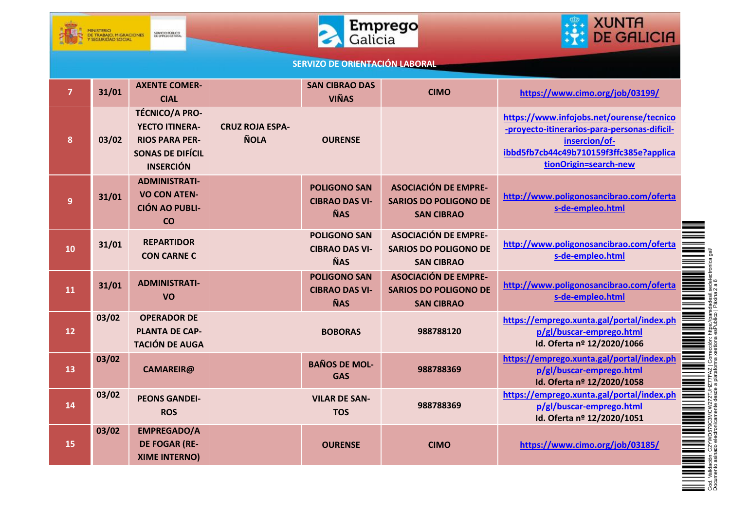





| $\overline{7}$ | 31/01 | <b>AXENTE COMER-</b><br><b>CIAL</b>                                                                                    |                                       | <b>SAN CIBRAO DAS</b><br><b>VIÑAS</b>                      | <b>CIMO</b>                                                                      | https://www.cimo.org/job/03199/                                                                                                                                               |
|----------------|-------|------------------------------------------------------------------------------------------------------------------------|---------------------------------------|------------------------------------------------------------|----------------------------------------------------------------------------------|-------------------------------------------------------------------------------------------------------------------------------------------------------------------------------|
| 8              | 03/02 | <b>TÉCNICO/A PRO-</b><br><b>YECTO ITINERA-</b><br><b>RIOS PARA PER-</b><br><b>SONAS DE DIFÍCIL</b><br><b>INSERCIÓN</b> | <b>CRUZ ROJA ESPA-</b><br><b>ÑOLA</b> | <b>OURENSE</b>                                             |                                                                                  | https://www.infojobs.net/ourense/tecnico<br>-proyecto-itinerarios-para-personas-dificil-<br>insercion/of-<br>ibbd5fb7cb44c49b710159f3ffc385e?applica<br>tionOrigin=search-new |
| 9              | 31/01 | <b>ADMINISTRATI-</b><br><b>VO CON ATEN-</b><br><b>CIÓN AO PUBLI-</b><br>CO                                             |                                       | <b>POLIGONO SAN</b><br><b>CIBRAO DAS VI-</b><br><b>ÑAS</b> | <b>ASOCIACIÓN DE EMPRE-</b><br><b>SARIOS DO POLIGONO DE</b><br><b>SAN CIBRAO</b> | http://www.poligonosancibrao.com/oferta<br>s-de-empleo.html                                                                                                                   |
| 10             | 31/01 | <b>REPARTIDOR</b><br><b>CON CARNE C</b>                                                                                |                                       | <b>POLIGONO SAN</b><br><b>CIBRAO DAS VI-</b><br><b>ÑAS</b> | <b>ASOCIACIÓN DE EMPRE-</b><br><b>SARIOS DO POLIGONO DE</b><br><b>SAN CIBRAO</b> | http://www.poligonosancibrao.com/oferta<br>s-de-empleo.html                                                                                                                   |
| 11             | 31/01 | <b>ADMINISTRATI-</b><br><b>VO</b>                                                                                      |                                       | <b>POLIGONO SAN</b><br><b>CIBRAO DAS VI-</b><br><b>ÑAS</b> | <b>ASOCIACIÓN DE EMPRE-</b><br><b>SARIOS DO POLIGONO DE</b><br><b>SAN CIBRAO</b> | http://www.poligonosancibrao.com/oferta<br>s-de-empleo.html                                                                                                                   |
| 12             | 03/02 | <b>OPERADOR DE</b><br><b>PLANTA DE CAP-</b><br><b>TACIÓN DE AUGA</b>                                                   |                                       | <b>BOBORAS</b>                                             | 988788120                                                                        | https://emprego.xunta.gal/portal/index.ph<br>p/gl/buscar-emprego.html<br>Id. Oferta nº 12/2020/1066                                                                           |
| 13             | 03/02 | <b>CAMAREIR@</b>                                                                                                       |                                       | <b>BAÑOS DE MOL-</b><br><b>GAS</b>                         | 988788369                                                                        | https://emprego.xunta.gal/portal/index.ph<br>p/gl/buscar-emprego.html<br>Id. Oferta nº 12/2020/1058                                                                           |
| 14             | 03/02 | <b>PEONS GANDEI-</b><br><b>ROS</b>                                                                                     |                                       | <b>VILAR DE SAN-</b><br><b>TOS</b>                         | 988788369                                                                        | https://emprego.xunta.gal/portal/index.ph<br>p/gl/buscar-emprego.html<br>Id. Oferta nº 12/2020/1051                                                                           |
| 15             | 03/02 | <b>EMPREGADO/A</b><br><b>DE FOGAR (RE-</b><br><b>XIME INTERNO)</b>                                                     |                                       | <b>OURENSE</b>                                             | <b>CIMO</b>                                                                      | https://www.cimo.org/job/03185/                                                                                                                                               |

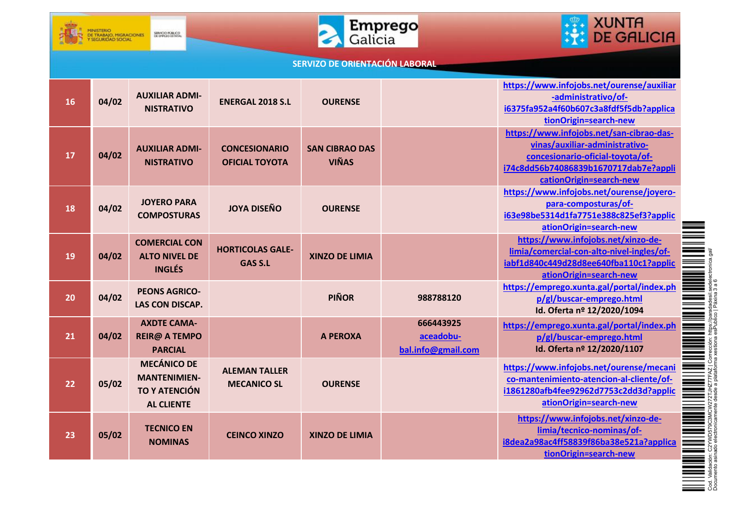





| 16 | 04/02 | <b>AUXILIAR ADMI-</b><br><b>NISTRATIVO</b>                                             | <b>ENERGAL 2018 S.L</b>                       | <b>OURENSE</b>                        |                                              | https://www.infojobs.net/ourense/auxiliar<br>-administrativo/of-<br>i6375fa952a4f60b607c3a8fdf5f5db?applica<br>tionOrigin=search-new                                               |
|----|-------|----------------------------------------------------------------------------------------|-----------------------------------------------|---------------------------------------|----------------------------------------------|------------------------------------------------------------------------------------------------------------------------------------------------------------------------------------|
| 17 | 04/02 | <b>AUXILIAR ADMI-</b><br><b>NISTRATIVO</b>                                             | <b>CONCESIONARIO</b><br><b>OFICIAL TOYOTA</b> | <b>SAN CIBRAO DAS</b><br><b>VIÑAS</b> |                                              | https://www.infojobs.net/san-cibrao-das-<br>vinas/auxiliar-administrativo-<br>concesionario-oficial-toyota/of-<br>i74c8dd56b74086839b1670717dab7e?appli<br>cationOrigin=search-new |
| 18 | 04/02 | <b>JOYERO PARA</b><br><b>COMPOSTURAS</b>                                               | <b>JOYA DISEÑO</b>                            | <b>OURENSE</b>                        |                                              | https://www.infojobs.net/ourense/joyero-<br>para-composturas/of-<br>i63e98be5314d1fa7751e388c825ef3?applic<br>ationOrigin=search-new                                               |
| 19 | 04/02 | <b>COMERCIAL CON</b><br><b>ALTO NIVEL DE</b><br><b>INGLÉS</b>                          | <b>HORTICOLAS GALE-</b><br><b>GAS S.L</b>     | <b>XINZO DE LIMIA</b>                 |                                              | https://www.infojobs.net/xinzo-de-<br>limia/comercial-con-alto-nivel-ingles/of-<br>iabf1d840c449d28d8ee640fba110c1?applic<br>ationOrigin=search-new                                |
| 20 | 04/02 | <b>PEONS AGRICO-</b><br><b>LAS CON DISCAP.</b>                                         |                                               | <b>PIÑOR</b>                          | 988788120                                    | https://emprego.xunta.gal/portal/index.ph<br>p/gl/buscar-emprego.html<br>Id. Oferta nº 12/2020/1094                                                                                |
| 21 | 04/02 | <b>AXDTE CAMA-</b><br><b>REIR@ A TEMPO</b><br><b>PARCIAL</b>                           |                                               | <b>A PEROXA</b>                       | 666443925<br>aceadobu-<br>bal.info@gmail.com | https://emprego.xunta.gal/portal/index.ph<br>p/gl/buscar-emprego.html<br>Id. Oferta nº 12/2020/1107                                                                                |
| 22 | 05/02 | <b>MECÁNICO DE</b><br><b>MANTENIMIEN-</b><br><b>TO Y ATENCIÓN</b><br><b>AL CLIENTE</b> | <b>ALEMAN TALLER</b><br><b>MECANICO SL</b>    | <b>OURENSE</b>                        |                                              | https://www.infojobs.net/ourense/mecani<br>co-mantenimiento-atencion-al-cliente/of-<br>i1861280afb4fee92962d7753c2dd3d?applic<br>ationOrigin=search-new                            |
| 23 | 05/02 | <b>TECNICO EN</b><br><b>NOMINAS</b>                                                    | <b>CEINCO XINZO</b>                           | <b>XINZO DE LIMIA</b>                 |                                              | https://www.infojobs.net/xinzo-de-<br>limia/tecnico-nominas/of-<br>i8dea2a98ac4ff58839f86ba38e521a?applica<br>tionOrigin=search-new                                                |



Documento asinado electronicamente desde a plataforma xestiona esPublico | Páxina 3 a 6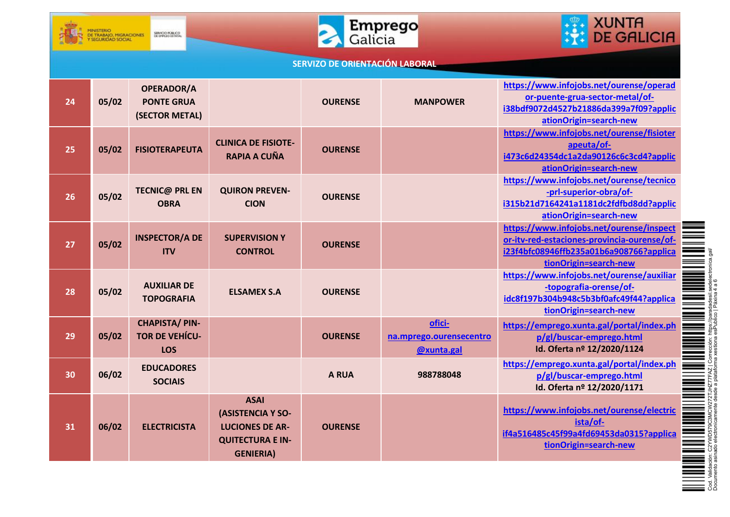





| 24 | 05/02 | <b>OPERADOR/A</b><br><b>PONTE GRUA</b><br>(SECTOR METAL)    |                                                                                                           | <b>OURENSE</b> | <b>MANPOWER</b>                                 | https://www.infojobs.net/ourense/operad<br>or-puente-grua-sector-metal/of-<br>i38bdf9072d4527b21886da399a7f09?applic<br>ationOrigin=search-new              |
|----|-------|-------------------------------------------------------------|-----------------------------------------------------------------------------------------------------------|----------------|-------------------------------------------------|-------------------------------------------------------------------------------------------------------------------------------------------------------------|
| 25 | 05/02 | <b>FISIOTERAPEUTA</b>                                       | <b>CLINICA DE FISIOTE-</b><br>RAPIA A CUÑA                                                                | <b>OURENSE</b> |                                                 | https://www.infojobs.net/ourense/fisioter<br>apeuta/of-<br>i473c6d24354dc1a2da90126c6c3cd4?applic<br>ationOrigin=search-new                                 |
| 26 | 05/02 | <b>TECNIC@ PRL EN</b><br><b>OBRA</b>                        | <b>QUIRON PREVEN-</b><br><b>CION</b>                                                                      | <b>OURENSE</b> |                                                 | https://www.infojobs.net/ourense/tecnico<br>-prl-superior-obra/of-<br>i315b21d7164241a1181dc2fdfbd8dd?applic<br>ationOrigin=search-new                      |
| 27 | 05/02 | <b>INSPECTOR/A DE</b><br><b>ITV</b>                         | <b>SUPERVISION Y</b><br><b>CONTROL</b>                                                                    | <b>OURENSE</b> |                                                 | https://www.infojobs.net/ourense/inspect<br>or-itv-red-estaciones-provincia-ourense/of-<br>i23f4bfc08946ffb235a01b6a908766?applica<br>tionOrigin=search-new |
| 28 | 05/02 | <b>AUXILIAR DE</b><br><b>TOPOGRAFIA</b>                     | <b>ELSAMEX S.A</b>                                                                                        | <b>OURENSE</b> |                                                 | https://www.infojobs.net/ourense/auxiliar<br>-topografia-orense/of-<br>idc8f197b304b948c5b3bf0afc49f44?applica<br>tionOrigin=search-new                     |
| 29 | 05/02 | <b>CHAPISTA/PIN-</b><br><b>TOR DE VEHÍCU-</b><br><b>LOS</b> |                                                                                                           | <b>OURENSE</b> | ofici-<br>na.mprego.ourensecentro<br>@xunta.gal | https://emprego.xunta.gal/portal/index.ph<br>p/gl/buscar-emprego.html<br>Id. Oferta nº 12/2020/1124                                                         |
| 30 | 06/02 | <b>EDUCADORES</b><br><b>SOCIAIS</b>                         |                                                                                                           | <b>A RUA</b>   | 988788048                                       | https://emprego.xunta.gal/portal/index.ph<br>p/gl/buscar-emprego.html<br>Id. Oferta nº 12/2020/1171                                                         |
| 31 | 06/02 | <b>ELECTRICISTA</b>                                         | <b>ASAI</b><br>(ASISTENCIA Y SO-<br><b>LUCIONES DE AR-</b><br><b>QUITECTURA E IN-</b><br><b>GENIERIA)</b> | <b>OURENSE</b> |                                                 | https://www.infojobs.net/ourense/electric<br>ista/of-<br>if4a516485c45f99a4fd69453da0315?applica<br>tionOrigin=search-new                                   |

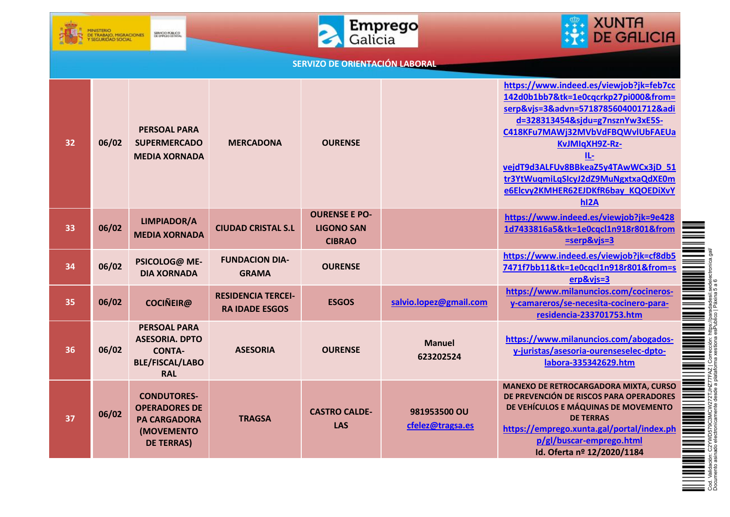





| 32 | 06/02 | <b>PERSOAL PARA</b><br><b>SUPERMERCADO</b><br><b>MEDIA XORNADA</b>                                    | <b>MERCADONA</b>                                   | <b>OURENSE</b>                                             |                                  | https://www.indeed.es/viewjob?jk=feb7cc<br>142d0b1bb7&tk=1e0cqcrkp27pi000&from=<br>serp&vjs=3&advn=5718785604001712&adi<br>d=328313454&sjdu=g7nsznYw3xE5S-<br>C418KFu7MAWj32MVbVdFBQWvlUbFAEUa<br>KvJMIqXH9Z-Rz-<br>IL-<br>vejdT9d3ALFUv8BBkeaZ5y4TAwWCx3jD 51<br>tr3YtWuqmiLqSIcyJ2dZ9MuNgxtxaQdXE0m<br>e6Elcvy2KMHER62EJDKfR6bay_KQOEDiXvY<br>h <sub>12</sub> A |
|----|-------|-------------------------------------------------------------------------------------------------------|----------------------------------------------------|------------------------------------------------------------|----------------------------------|-------------------------------------------------------------------------------------------------------------------------------------------------------------------------------------------------------------------------------------------------------------------------------------------------------------------------------------------------------------------|
| 33 | 06/02 | <b>LIMPIADOR/A</b><br><b>MEDIA XORNADA</b>                                                            | <b>CIUDAD CRISTAL S.L</b>                          | <b>OURENSE E PO-</b><br><b>LIGONO SAN</b><br><b>CIBRAO</b> |                                  | https://www.indeed.es/viewjob?jk=9e428<br>1d7433816a5&tk=1e0cqcl1n918r801&from<br>=serp&vjs=3                                                                                                                                                                                                                                                                     |
| 34 | 06/02 | PSICOLOG@ ME-<br><b>DIA XORNADA</b>                                                                   | <b>FUNDACION DIA-</b><br><b>GRAMA</b>              | <b>OURENSE</b>                                             |                                  | https://www.indeed.es/viewjob?jk=cf8db5<br>7471f7bb11&tk=1e0cqcl1n918r801&from=s<br>erp&vjs=3                                                                                                                                                                                                                                                                     |
| 35 | 06/02 | <b>COCIÑEIR@</b>                                                                                      | <b>RESIDENCIA TERCEI-</b><br><b>RA IDADE ESGOS</b> | <b>ESGOS</b>                                               | salvio.lopez@gmail.com           | https://www.milanuncios.com/cocineros-<br>y-camareros/se-necesita-cocinero-para-<br>residencia-233701753.htm                                                                                                                                                                                                                                                      |
| 36 | 06/02 | <b>PERSOAL PARA</b><br><b>ASESORIA. DPTO</b><br><b>CONTA-</b><br><b>BLE/FISCAL/LABO</b><br><b>RAL</b> | <b>ASESORIA</b>                                    | <b>OURENSE</b>                                             | <b>Manuel</b><br>623202524       | https://www.milanuncios.com/abogados-<br>y-juristas/asesoria-ourenseselec-dpto-<br>labora-335342629.htm                                                                                                                                                                                                                                                           |
| 37 | 06/02 | <b>CONDUTORES-</b><br><b>OPERADORES DE</b><br><b>PA CARGADORA</b><br>(MOVEMENTO<br><b>DE TERRAS)</b>  | <b>TRAGSA</b>                                      | <b>CASTRO CALDE-</b><br><b>LAS</b>                         | 981953500 OU<br>cfelez@tragsa.es | <b>MANEXO DE RETROCARGADORA MIXTA, CURSO</b><br>DE PREVENCIÓN DE RISCOS PARA OPERADORES<br>DE VEHÍCULOS E MÁQUINAS DE MOVEMENTO<br><b>DE TERRAS</b><br>https://emprego.xunta.gal/portal/index.ph<br>p/gl/buscar-emprego.html<br>Id. Oferta nº 12/2020/1184                                                                                                        |



Documento asinado electronicamente desde a plataforma xestiona esPublico | Páxina 5 a 6